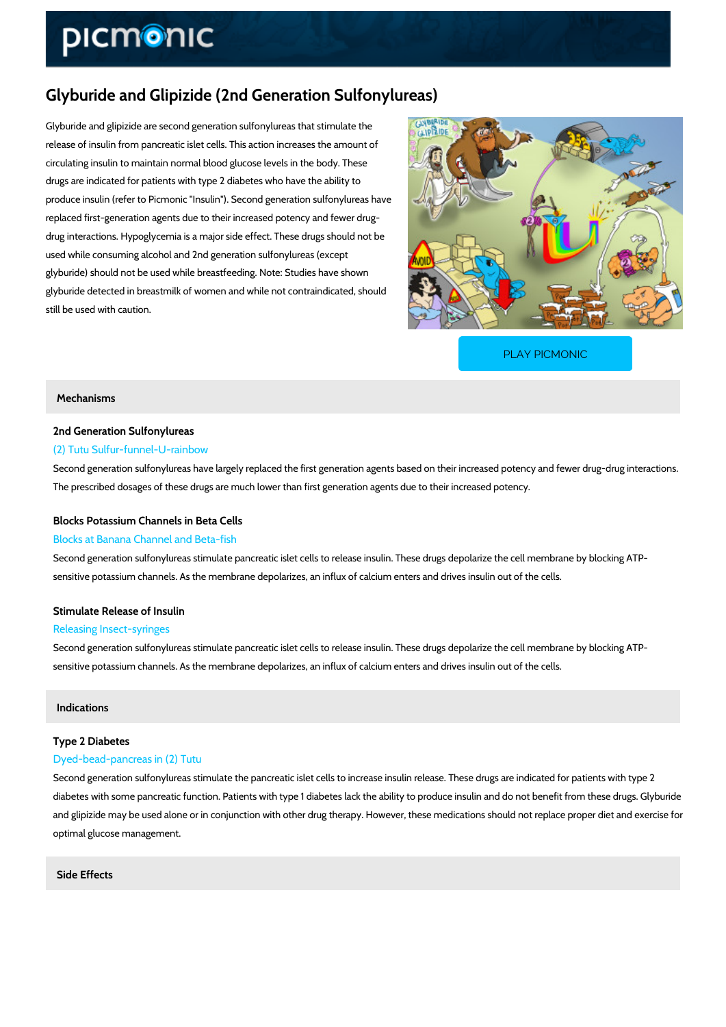# Glyburide and Glipizide (2nd Generation Sulfonylureas)

Glyburide and glipizide are second generation sulfonylureas that stimulate the release of insulin from pancreatic islet cells. This action increases the amount of circulating insulin to maintain normal blood glucose levels in the body. These drugs are indicated for patients with type 2 diabetes who have the ability to produce insulin (refer to Picmonic "Insulin"). Second generation sulfonylureas have replaced first-generation agents due to their increased potency and fewer drug drug interactions. Hypoglycemia is a major side effect. These drugs should not be used while consuming alcohol and 2nd generation sulfonylureas (except glyburide) should not be used while breastfeeding. Note: Studies have shown glyburide detected in breastmilk of women and while not contraindicated, should still be used with caution.

[PLAY PICMONIC](https://www.picmonic.com/learn/glyburide-and-glipizide-2nd-generation-sulfonylureas_2095?utm_source=downloadable_content&utm_medium=distributedcontent&utm_campaign=pathways_pdf&utm_content=Glyburide and Glipizide (2nd Generation Sulfonylureas)&utm_ad_group=leads&utm_market=all)

#### Mechanisms

## 2nd Generation Sulfonylureas

#### (2) Tutu Sulfur-funnel-U-rainbow

Second generation sulfonylureas have largely replaced the first generation agents based on the The prescribed dosages of these drugs are much lower than first generation agents due to the

#### Blocks Potassium Channels in Beta Cells

#### Blocks at Banana Channel and Beta-fish

Second generation sulfonylureas stimulate pancreatic islet cells to release insulin. These dru sensitive potassium channels. As the membrane depolarizes, an influx of calcium enters and c

### Stimulate Release of Insulin

#### Releasing Insect-syringes

Second generation sulfonylureas stimulate pancreatic islet cells to release insulin. These dru sensitive potassium channels. As the membrane depolarizes, an influx of calcium enters and c

#### Indications

#### Type 2 Diabetes

#### Dyed-bead-pancreas in (2) Tutu

Second generation sulfonylureas stimulate the pancreatic islet cells to increase insulin releas diabetes with some pancreatic function. Patients with type 1 diabetes lack the ability to produ and glipizide may be used alone or in conjunction with other drug therapy. However, these me optimal glucose management.

Side Effects